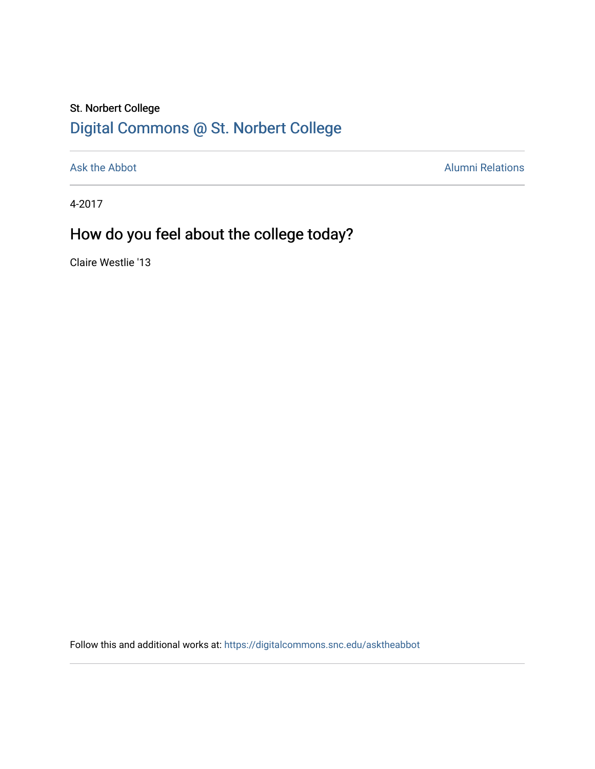## St. Norbert College [Digital Commons @ St. Norbert College](https://digitalcommons.snc.edu/)

[Ask the Abbot](https://digitalcommons.snc.edu/asktheabbot) **Alumni Relations** Alumni Relations

4-2017

# How do you feel about the college today?

Claire Westlie '13

Follow this and additional works at: [https://digitalcommons.snc.edu/asktheabbot](https://digitalcommons.snc.edu/asktheabbot?utm_source=digitalcommons.snc.edu%2Fasktheabbot%2F135&utm_medium=PDF&utm_campaign=PDFCoverPages)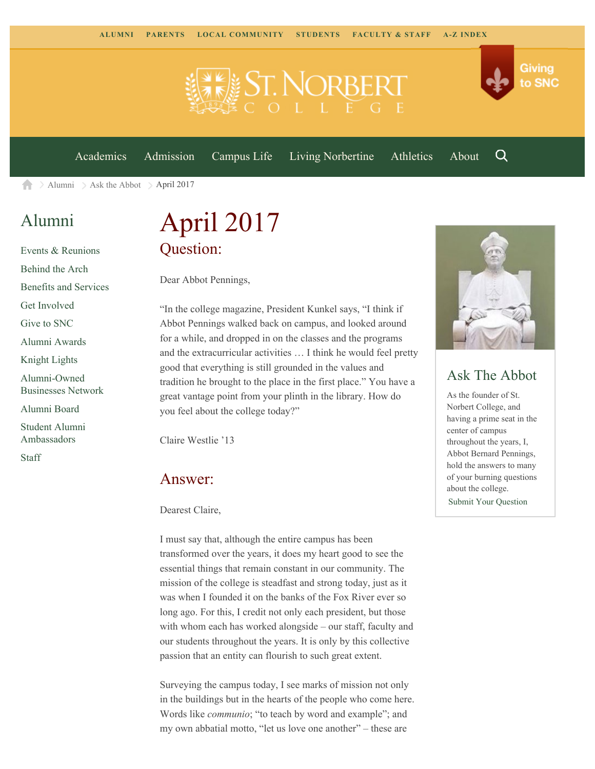

[Academics](https://www.snc.edu/academics) [Admission](https://www.snc.edu/admission) [Campus Life](https://www.snc.edu/campuslife) [Living Norbertine](https://www.snc.edu/livingnorbertine) [Athletics](https://www.snc.edu/athletics) [About](https://www.snc.edu/about)

Q

Giving

to SNC

[Alumni](https://www.snc.edu/alumni/)  $\geq$  [Ask the Abbot](https://www.snc.edu/alumni/abbot/)  $\geq$  April 2017 合

### [Alumni](https://www.snc.edu/alumni/index.html)

[Events & Reunions](https://www.snc.edu/alumni/event/index.html) [Behind the Arch](https://www.snc.edu/alumni/event/behindthearch/) [Benefits and Services](https://www.snc.edu/alumni/benefits.html) [Get Involved](https://www.snc.edu/alumni/getinvolved.html) [Give to SNC](http://giving.snc.edu/) [Alumni Awards](https://www.snc.edu/alumni/awards/index.html) [Knight Lights](https://www.snc.edu/alumni/knightlights/index.html) [Alumni-Owned](https://www.snc.edu/alumni/directory/index.html) [Businesses Network](https://www.snc.edu/alumni/directory/index.html) [Alumni Board](https://www.snc.edu/alumni/alumniboard.html) [Student Alumni](https://www.snc.edu/alumni/saa.html) [Ambassadors](https://www.snc.edu/alumni/saa.html) [Staff](https://www.snc.edu/alumni/contactus.html)

# April 2017 Question:

Dear Abbot Pennings,

"In the college magazine, President Kunkel says, "I think if Abbot Pennings walked back on campus, and looked around for a while, and dropped in on the classes and the programs and the extracurricular activities … I think he would feel pretty good that everything is still grounded in the values and tradition he brought to the place in the first place." You have a great vantage point from your plinth in the library. How do you feel about the college today?"

Claire Westlie '13

#### Answer:

Dearest Claire,

I must say that, although the entire campus has been transformed over the years, it does my heart good to see the essential things that remain constant in our community. The mission of the college is steadfast and strong today, just as it was when I founded it on the banks of the Fox River ever so long ago. For this, I credit not only each president, but those with whom each has worked alongside – our staff, faculty and our students throughout the years. It is only by this collective passion that an entity can flourish to such great extent.

Surveying the campus today, I see marks of mission not only in the buildings but in the hearts of the people who come here. Words like *communio*; "to teach by word and example"; and my own abbatial motto, "let us love one another" – these are



### Ask The Abbot

As the founder of St. Norbert College, and having a prime seat in the center of campus throughout the years, I, Abbot Bernard Pennings, hold the answers to many of your burning questions about the college. [Submit Your Question](https://www.snc.edu/alumni/abbot/index.html)